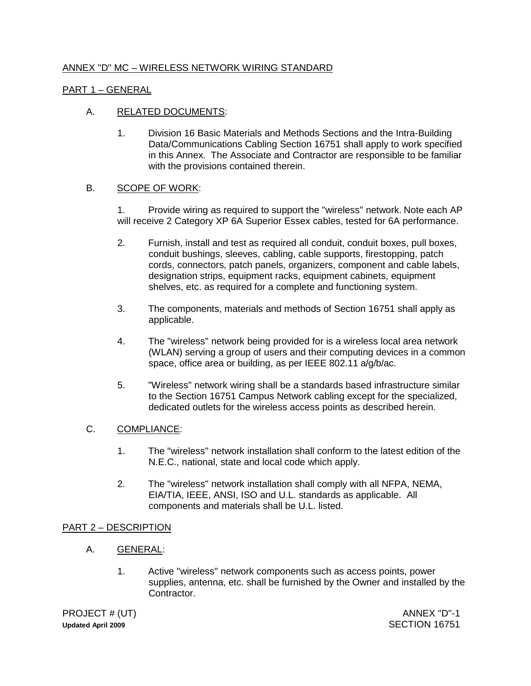# ANNEX "D" MC – WIRELESS NETWORK WIRING STANDARD

## PART 1 – GENERAL

## A. RELATED DOCUMENTS:

1. Division 16 Basic Materials and Methods Sections and the Intra-Building Data/Communications Cabling Section 16751 shall apply to work specified in this Annex. The Associate and Contractor are responsible to be familiar with the provisions contained therein.

### B. SCOPE OF WORK:

1. Provide wiring as required to support the "wireless" network. Note each AP will receive 2 Category XP 6A Superior Essex cables, tested for 6A performance.

- 2. Furnish, install and test as required all conduit, conduit boxes, pull boxes, conduit bushings, sleeves, cabling, cable supports, firestopping, patch cords, connectors, patch panels, organizers, component and cable labels, designation strips, equipment racks, equipment cabinets, equipment shelves, etc. as required for a complete and functioning system.
- 3. The components, materials and methods of Section 16751 shall apply as applicable.
- 4. The "wireless" network being provided for is a wireless local area network (WLAN) serving a group of users and their computing devices in a common space, office area or building, as per IEEE 802.11 a/g/b/ac.
- 5. "Wireless" network wiring shall be a standards based infrastructure similar to the Section 16751 Campus Network cabling except for the specialized, dedicated outlets for the wireless access points as described herein.

### C. COMPLIANCE:

- 1. The "wireless" network installation shall conform to the latest edition of the N.E.C., national, state and local code which apply.
- 2. The "wireless" network installation shall comply with all NFPA, NEMA, EIA/TIA, IEEE, ANSI, ISO and U.L. standards as applicable. All components and materials shall be U.L. listed.

### PART 2 – DESCRIPTION

- A. GENERAL:
	- 1. Active "wireless" network components such as access points, power supplies, antenna, etc. shall be furnished by the Owner and installed by the Contractor.

PROJECT # (UT) **Updated April 2009**

ANNEX "D"-1 SECTION 16751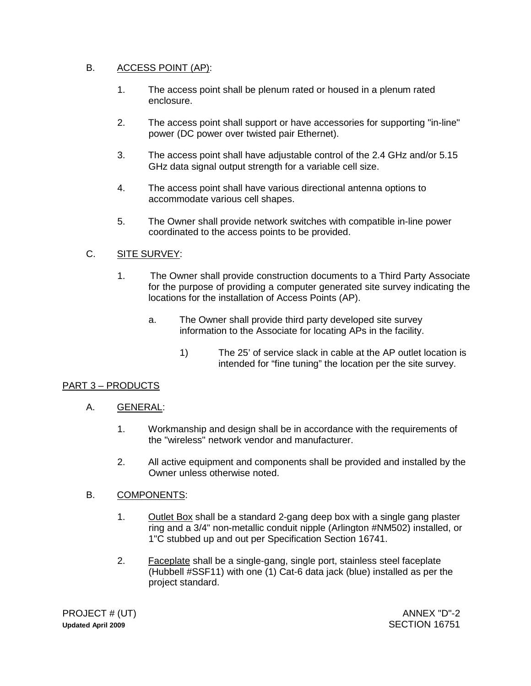# B. ACCESS POINT (AP):

- 1. The access point shall be plenum rated or housed in a plenum rated enclosure.
- 2. The access point shall support or have accessories for supporting "in-line" power (DC power over twisted pair Ethernet).
- 3. The access point shall have adjustable control of the 2.4 GHz and/or 5.15 GHz data signal output strength for a variable cell size.
- 4. The access point shall have various directional antenna options to accommodate various cell shapes.
- 5. The Owner shall provide network switches with compatible in-line power coordinated to the access points to be provided.

# C. SITE SURVEY:

- 1. The Owner shall provide construction documents to a Third Party Associate for the purpose of providing a computer generated site survey indicating the locations for the installation of Access Points (AP).
	- a. The Owner shall provide third party developed site survey information to the Associate for locating APs in the facility.
		- 1) The 25' of service slack in cable at the AP outlet location is intended for "fine tuning" the location per the site survey.

## PART 3 – PRODUCTS

## A. GENERAL:

- 1. Workmanship and design shall be in accordance with the requirements of the "wireless" network vendor and manufacturer.
- 2. All active equipment and components shall be provided and installed by the Owner unless otherwise noted.

## B. COMPONENTS:

- 1. Outlet Box shall be a standard 2-gang deep box with a single gang plaster ring and a 3/4" non-metallic conduit nipple (Arlington #NM502) installed, or 1"C stubbed up and out per Specification Section 16741.
- 2. **Faceplate shall be a single-gang, single port, stainless steel faceplate** (Hubbell #SSF11) with one (1) Cat-6 data jack (blue) installed as per the project standard.

PROJECT # (UT) **Updated April 2009**

ANNEX "D"-2 SECTION 16751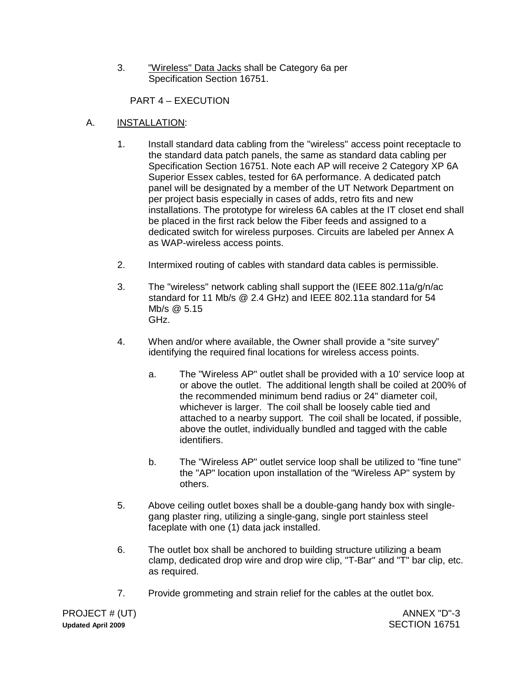3. "Wireless" Data Jacks shall be Category 6a per Specification Section 16751.

PART 4 – EXECUTION

# A. INSTALLATION:

- 1. Install standard data cabling from the "wireless" access point receptacle to the standard data patch panels, the same as standard data cabling per Specification Section 16751. Note each AP will receive 2 Category XP 6A Superior Essex cables, tested for 6A performance. A dedicated patch panel will be designated by a member of the UT Network Department on per project basis especially in cases of adds, retro fits and new installations. The prototype for wireless 6A cables at the IT closet end shall be placed in the first rack below the Fiber feeds and assigned to a dedicated switch for wireless purposes. Circuits are labeled per Annex A as WAP-wireless access points.
- 2. Intermixed routing of cables with standard data cables is permissible.
- 3. The "wireless" network cabling shall support the (IEEE 802.11a/g/n/ac standard for 11 Mb/s @ 2.4 GHz) and IEEE 802.11a standard for 54 Mb/s @ 5.15 GHz.
- 4. When and/or where available, the Owner shall provide a "site survey" identifying the required final locations for wireless access points.
	- a. The "Wireless AP" outlet shall be provided with a 10' service loop at or above the outlet. The additional length shall be coiled at 200% of the recommended minimum bend radius or 24" diameter coil, whichever is larger. The coil shall be loosely cable tied and attached to a nearby support. The coil shall be located, if possible, above the outlet, individually bundled and tagged with the cable identifiers.
	- b. The "Wireless AP" outlet service loop shall be utilized to "fine tune" the "AP" location upon installation of the "Wireless AP" system by others.
- 5. Above ceiling outlet boxes shall be a double-gang handy box with singlegang plaster ring, utilizing a single-gang, single port stainless steel faceplate with one (1) data jack installed.
- 6. The outlet box shall be anchored to building structure utilizing a beam clamp, dedicated drop wire and drop wire clip, "T-Bar" and "T" bar clip, etc. as required.
- 7. Provide grommeting and strain relief for the cables at the outlet box.

PROJECT # (UT) **Updated April 2009**

ANNEX "D"-3 SECTION 16751